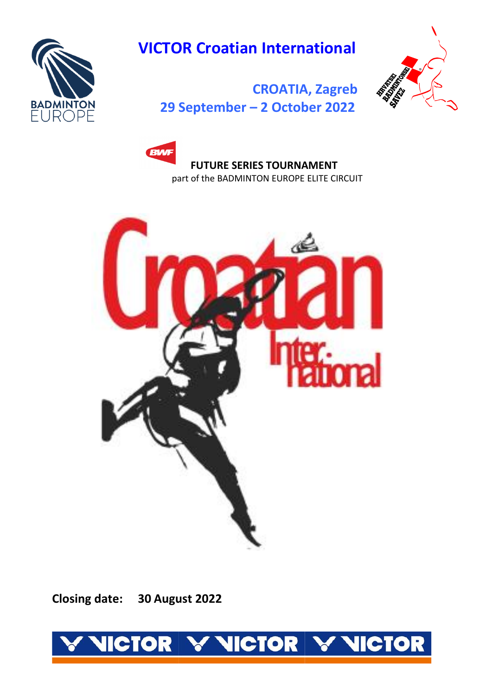

# **VICTOR Croatian International**



 **[CROATIA, Zagreb](http://badmintoneurope.com/)  [29](http://badmintoneurope.com/) September – 2 October 2022** 





 **Closing date: 30 August 2022**

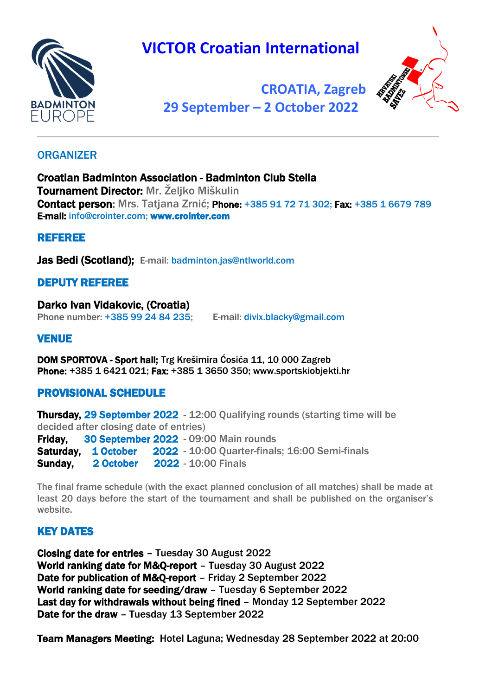

# **VICTOR Croatian International**



 **[CROATIA, Zagreb](http://badmintoneurope.com/) 29 September – 2 [October 2022](http://badmintoneurope.com/)**

## **ORGANIZER**

Croatian Badminton Association - Badminton Club Stella Tournament Director: Mr. Željko Miškulin Contact person: Mrs. Tatjana Zrnić; Phone: +385 91 72 71 302; Fax: +385 1 6679 789 E-mail: [info@crointer.com;](mailto:info@crointer.com) [www.crointer.com](http://www.crointer.com/)

# REFEREE

Jas Bedi (Scotland); E-mail: badminton.jas@ntlworld.com

# DEPUTY REFEREE

Darko Ivan Vidakovic, (Croatia) Phone number: +385 99 24 84 235; E-mail: divix.blacky@gmail.com

### **VENUE**

DOM SPORTOVA - Sport hall; Trg Krešimira Ćosića 11, 10 000 Zagreb Phone: +385 1 6421 021; Fax: +385 1 3650 350; [www.sportskiobjekti.hr](http://www.sportskiobjekti.hr/)

# PROVISIONAL SCHEDULE

**Thursday, 29 September 2022** - 12:00 Qualifying rounds (starting time will be decided after closing date of entries) Friday. 30 September 2022 - 09:00 Main rounds Saturday. 1 October 2022 - 10:00 Quarter-finals; 16:00 Semi-finals **Sunday, 2 October 2022 - 10:00 Finals** 

The final frame schedule (with the exact planned conclusion of all matches) shall be made at least 20 days before the start of the tournament and shall be published on the organiser's website.

# KEY DATES

Closing date for entries – Tuesday 30 August 2022 World ranking date for M&Q-report – Tuesday 30 August 2022 Date for publication of M&Q-report – Friday 2 September 2022 World ranking date for seeding/draw – Tuesday 6 September 2022 Last day for withdrawals without being fined – Monday 12 September 2022 Date for the draw – Tuesday 13 September 2022

Team Managers Meeting: Hotel Laguna; Wednesday 28 September 2022 at 20:00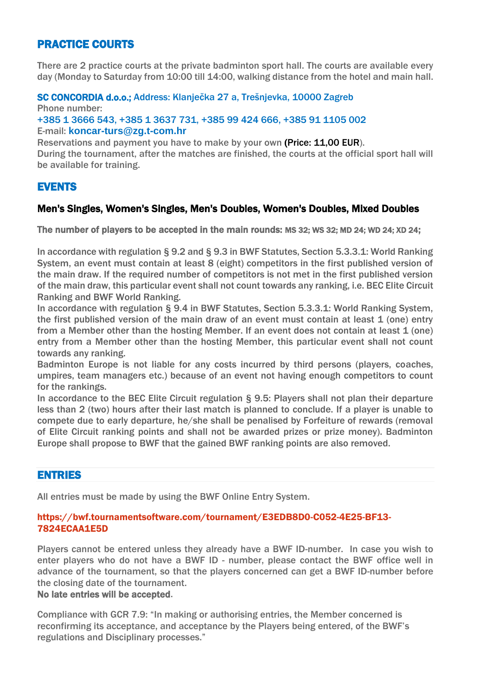# PRACTICE COURTS

There are 2 practice courts at the private badminton sport hall. The courts are available every day (Monday to Saturday from 10:00 till 14:00, walking distance from the hotel and main hall.

#### SC CONCORDIA d.o.o.; Address: Klanječka 27 a, Trešnjevka, 10000 Zagreb

Phone number: +385 1 3666 543, +385 1 3637 731, +385 99 424 666, +385 91 1105 002 E-mail: **[koncar-turs@zg.t-com.hr](mailto:koncar-turs@zg.t-com.hr)**

Reservations and payment you have to make by your own (Price: 11,00 EUR). During the tournament, after the matches are finished, the courts at the official sport hall will be available for training.

### EVENTS

#### Men's Singles, Women's Singles, Men's Doubles, Women's Doubles, Mixed Doubles

The number of players to be accepted in the main rounds: MS 32; WS 32; MD 24; WD 24; XD 24;

In accordance with regulation § 9.2 and § 9.3 in BWF Statutes, Section 5.3.3.1: World Ranking System, an event must contain at least 8 (eight) competitors in the first published version of the main draw. If the required number of competitors is not met in the first published version of the main draw, this particular event shall not count towards any ranking, i.e. BEC Elite Circuit Ranking and BWF World Ranking.

In accordance with regulation § 9.4 in BWF Statutes, Section 5.3.3.1: World Ranking System, the first published version of the main draw of an event must contain at least 1 (one) entry from a Member other than the hosting Member. If an event does not contain at least 1 (one) entry from a Member other than the hosting Member, this particular event shall not count towards any ranking.

Badminton Europe is not liable for any costs incurred by third persons (players, coaches, umpires, team managers etc.) because of an event not having enough competitors to count for the rankings.

In accordance to the BEC Elite Circuit regulation § 9.5: Players shall not plan their departure less than 2 (two) hours after their last match is planned to conclude. If a player is unable to compete due to early departure, he/she shall be penalised by Forfeiture of rewards (removal of Elite Circuit ranking points and shall not be awarded prizes or prize money). Badminton Europe shall propose to BWF that the gained BWF ranking points are also removed.

#### ENTRIES

All entries must be made by using the BWF Online Entry System.

#### [https://bwf.tournamentsoftware.com/tournament/E3EDB8D0-C052-4E25-BF13-](https://bwf.tournamentsoftware.com/tournament/E3EDB8D0-C052-4E25-BF13-7824ECAA1E5D) [7824ECAA1E5D](https://bwf.tournamentsoftware.com/tournament/E3EDB8D0-C052-4E25-BF13-7824ECAA1E5D)

Players cannot be entered unless they already have a BWF ID-number. In case you wish to enter players who do not have a BWF ID - number, please contact the BWF office well in advance of the tournament, so that the players concerned can get a BWF ID-number before the closing date of the tournament.

#### No late entries will be accepted.

Compliance with GCR 7.9: "In making or authorising entries, the Member concerned is reconfirming its acceptance, and acceptance by the Players being entered, of the BWF's regulations and Disciplinary processes."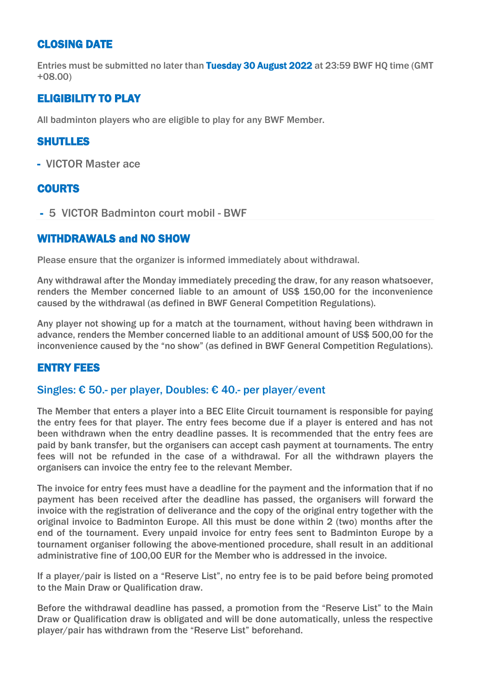### CLOSING DATE

Entries must be submitted no later than Tuesday 30 August 2022 at 23:59 BWF HQ time (GMT +08.00)

# ELIGIBILITY TO PLAY

All badminton players who are eligible to play for any BWF Member.

## SHUTLLES

- VICTOR Master ace

### COURTS

- 5 VICTOR Badminton court mobil - BWF

#### WITHDRAWALS and NO SHOW

Please ensure that the organizer is informed immediately about withdrawal.

Any withdrawal after the Monday immediately preceding the draw, for any reason whatsoever, renders the Member concerned liable to an amount of US\$ 150,00 for the inconvenience caused by the withdrawal (as defined in BWF General Competition Regulations).

Any player not showing up for a match at the tournament, without having been withdrawn in advance, renders the Member concerned liable to an additional amount of US\$ 500,00 for the inconvenience caused by the "no show" (as defined in BWF General Competition Regulations).

#### ENTRY FEES

#### Singles: € 50.- per player, Doubles: € 40.- per player/event

The Member that enters a player into a BEC Elite Circuit tournament is responsible for paying the entry fees for that player. The entry fees become due if a player is entered and has not been withdrawn when the entry deadline passes. It is recommended that the entry fees are paid by bank transfer, but the organisers can accept cash payment at tournaments. The entry fees will not be refunded in the case of a withdrawal. For all the withdrawn players the organisers can invoice the entry fee to the relevant Member.

The invoice for entry fees must have a deadline for the payment and the information that if no payment has been received after the deadline has passed, the organisers will forward the invoice with the registration of deliverance and the copy of the original entry together with the original invoice to Badminton Europe. All this must be done within 2 (two) months after the end of the tournament. Every unpaid invoice for entry fees sent to Badminton Europe by a tournament organiser following the above-mentioned procedure, shall result in an additional administrative fine of 100,00 EUR for the Member who is addressed in the invoice.

If a player/pair is listed on a "Reserve List", no entry fee is to be paid before being promoted to the Main Draw or Qualification draw.

Before the withdrawal deadline has passed, a promotion from the "Reserve List" to the Main Draw or Qualification draw is obligated and will be done automatically, unless the respective player/pair has withdrawn from the "Reserve List" beforehand.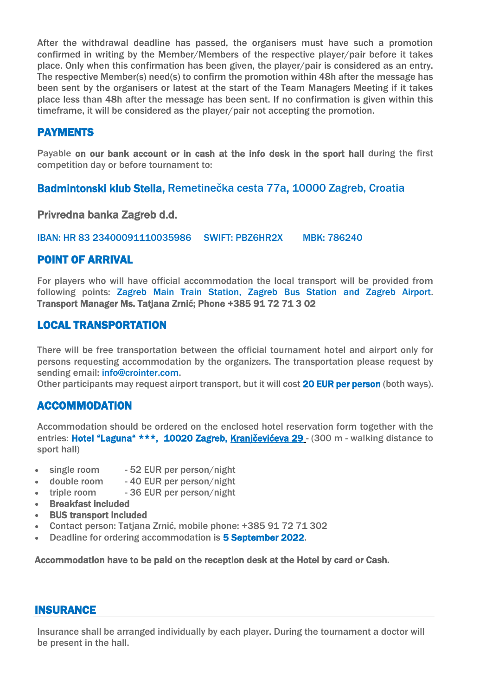After the withdrawal deadline has passed, the organisers must have such a promotion confirmed in writing by the Member/Members of the respective player/pair before it takes place. Only when this confirmation has been given, the player/pair is considered as an entry. The respective Member(s) need(s) to confirm the promotion within 48h after the message has been sent by the organisers or latest at the start of the Team Managers Meeting if it takes place less than 48h after the message has been sent. If no confirmation is given within this timeframe, it will be considered as the player/pair not accepting the promotion.

### PAYMENTS

Payable on our bank account or in cash at the info desk in the sport hall during the first competition day or before tournament to:

Badmintonski klub Stella, Remetinečka cesta 77a, 10000 Zagreb, Croatia

Privredna banka Zagreb d.d.

IBAN: HR 83 23400091110035986 SWIFT: PBZ6HR2X MBK: 786240

#### POINT OF ARRIVAL

For players who will have official accommodation the local transport will be provided from following points: Zagreb Main Train Station, Zagreb Bus Station and Zagreb Airport. Transport Manager Ms. Tatjana Zrnić; Phone +385 91 72 71 3 02

### LOCAL TRANSPORTATION

There will be free transportation between the official tournament hotel and airport only for persons requesting accommodation by the organizers. The transportation please request by sending email: [info@crointer.com.](mailto:info@crointer.com)

Other participants may request airport transport, but it will cost 20 EUR per person (both ways).

# ACCOMMODATION

Accommodation should be ordered on the enclosed hotel reservation form together with the entries: Hotel "Laguna" \*\*\*, 10020 Zagreb, Kranjčevićeva 29 - (300 m - walking distance to sport hall)

- single room 52 EUR per person/night
- double room 40 EUR per person/night
- triple room 36 EUR per person/night
- Breakfast included
- BUS transport included
- Contact person: Tatjana Zrnić, mobile phone: +385 91 72 71 302
- Deadline for ordering accommodation is 5 September 2022.

Accommodation have to be paid on the reception desk at the Hotel by card or Cash.

#### INSURANCE

Insurance shall be arranged individually by each player. During the tournament a doctor will be present in the hall.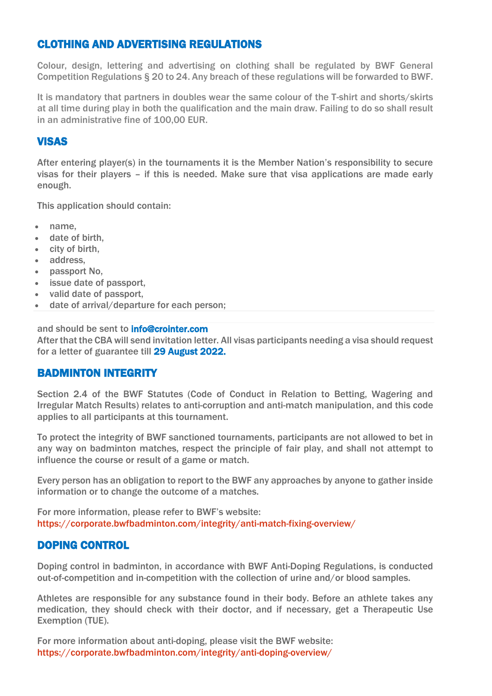## CLOTHING AND ADVERTISING REGULATIONS

Colour, design, lettering and advertising on clothing shall be regulated by BWF General Competition Regulations § 20 to 24. Any breach of these regulations will be forwarded to BWF.

It is mandatory that partners in doubles wear the same colour of the T-shirt and shorts/skirts at all time during play in both the qualification and the main draw. Failing to do so shall result in an administrative fine of 100,00 EUR.

# **VISAS**

After entering player(s) in the tournaments it is the Member Nation's responsibility to secure visas for their players – if this is needed. Make sure that visa applications are made early enough.

This application should contain:

- name,
- date of birth,
- city of birth,
- address,
- passport No,
- issue date of passport.
- valid date of passport,
- date of arrival/departure for each person;

and should be sent to info@crointer.com After that the CBA will send invitation letter. All visas participants needing a visa should request for a letter of guarantee till 29 August 2022.

#### BADMINTON INTEGRITY

Section 2.4 of the BWF Statutes (Code of Conduct in Relation to Betting, Wagering and Irregular Match Results) relates to anti-corruption and anti-match manipulation, and this code applies to all participants at this tournament.

To protect the integrity of BWF sanctioned tournaments, participants are not allowed to bet in any way on badminton matches, respect the principle of fair play, and shall not attempt to influence the course or result of a game or match.

Every person has an obligation to report to the BWF any approaches by anyone to gather inside information or to change the outcome of a matches.

For more information, please refer to BWF's website: <https://corporate.bwfbadminton.com/integrity/anti-match-fixing-overview/>

#### DOPING CONTROL

Doping control in badminton, in accordance with BWF Anti-Doping Regulations, is conducted out-of-competition and in-competition with the collection of urine and/or blood samples.

Athletes are responsible for any substance found in their body. Before an athlete takes any medication, they should check with their doctor, and if necessary, get a Therapeutic Use Exemption (TUE).

For more information about anti-doping, please visit the BWF website: <https://corporate.bwfbadminton.com/integrity/anti-doping-overview/>